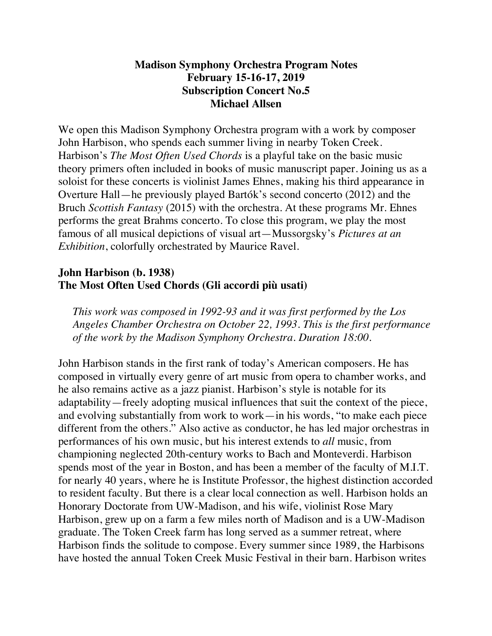#### **Madison Symphony Orchestra Program Notes February 15-16-17, 2019 Subscription Concert No.5 Michael Allsen**

We open this Madison Symphony Orchestra program with a work by composer John Harbison, who spends each summer living in nearby Token Creek. Harbison's *The Most Often Used Chords* is a playful take on the basic music theory primers often included in books of music manuscript paper. Joining us as a soloist for these concerts is violinist James Ehnes, making his third appearance in Overture Hall—he previously played Bartók's second concerto (2012) and the Bruch *Scottish Fantasy* (2015) with the orchestra. At these programs Mr. Ehnes performs the great Brahms concerto. To close this program, we play the most famous of all musical depictions of visual art—Mussorgsky's *Pictures at an Exhibition*, colorfully orchestrated by Maurice Ravel.

### **John Harbison (b. 1938) The Most Often Used Chords (Gli accordi più usati)**

*This work was composed in 1992-93 and it was first performed by the Los Angeles Chamber Orchestra on October 22, 1993. This is the first performance of the work by the Madison Symphony Orchestra. Duration 18:00.*

John Harbison stands in the first rank of today's American composers. He has composed in virtually every genre of art music from opera to chamber works, and he also remains active as a jazz pianist. Harbison's style is notable for its adaptability—freely adopting musical influences that suit the context of the piece, and evolving substantially from work to work—in his words, "to make each piece different from the others." Also active as conductor, he has led major orchestras in performances of his own music, but his interest extends to *all* music, from championing neglected 20th-century works to Bach and Monteverdi. Harbison spends most of the year in Boston, and has been a member of the faculty of M.I.T. for nearly 40 years, where he is Institute Professor, the highest distinction accorded to resident faculty. But there is a clear local connection as well. Harbison holds an Honorary Doctorate from UW-Madison, and his wife, violinist Rose Mary Harbison, grew up on a farm a few miles north of Madison and is a UW-Madison graduate. The Token Creek farm has long served as a summer retreat, where Harbison finds the solitude to compose. Every summer since 1989, the Harbisons have hosted the annual Token Creek Music Festival in their barn. Harbison writes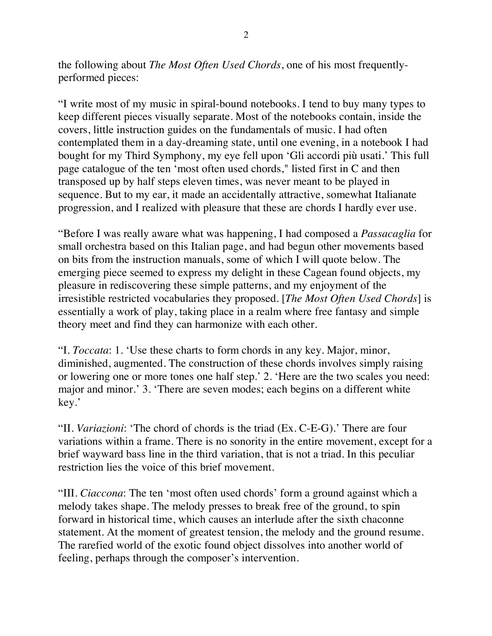the following about *The Most Often Used Chords*, one of his most frequentlyperformed pieces:

"I write most of my music in spiral-bound notebooks. I tend to buy many types to keep different pieces visually separate. Most of the notebooks contain, inside the covers, little instruction guides on the fundamentals of music. I had often contemplated them in a day-dreaming state, until one evening, in a notebook I had bought for my Third Symphony, my eye fell upon 'Gli accordi più usati.' This full page catalogue of the ten 'most often used chords," listed first in C and then transposed up by half steps eleven times, was never meant to be played in sequence. But to my ear, it made an accidentally attractive, somewhat Italianate progression, and I realized with pleasure that these are chords I hardly ever use.

"Before I was really aware what was happening, I had composed a *Passacaglia* for small orchestra based on this Italian page, and had begun other movements based on bits from the instruction manuals, some of which I will quote below. The emerging piece seemed to express my delight in these Cagean found objects, my pleasure in rediscovering these simple patterns, and my enjoyment of the irresistible restricted vocabularies they proposed. [*The Most Often Used Chords*] is essentially a work of play, taking place in a realm where free fantasy and simple theory meet and find they can harmonize with each other.

"I. *Toccata*: 1. 'Use these charts to form chords in any key. Major, minor, diminished, augmented. The construction of these chords involves simply raising or lowering one or more tones one half step.' 2. 'Here are the two scales you need: major and minor.' 3. 'There are seven modes; each begins on a different white key.'

"II. *Variazioni*: 'The chord of chords is the triad (Ex. C-E-G).' There are four variations within a frame. There is no sonority in the entire movement, except for a brief wayward bass line in the third variation, that is not a triad. In this peculiar restriction lies the voice of this brief movement.

"III. *Ciaccona*: The ten 'most often used chords' form a ground against which a melody takes shape. The melody presses to break free of the ground, to spin forward in historical time, which causes an interlude after the sixth chaconne statement. At the moment of greatest tension, the melody and the ground resume. The rarefied world of the exotic found object dissolves into another world of feeling, perhaps through the composer's intervention.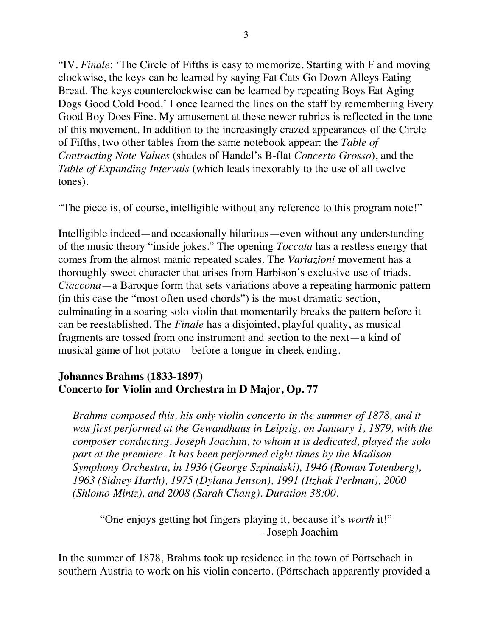"IV. *Finale*: 'The Circle of Fifths is easy to memorize. Starting with F and moving clockwise, the keys can be learned by saying Fat Cats Go Down Alleys Eating Bread. The keys counterclockwise can be learned by repeating Boys Eat Aging Dogs Good Cold Food.' I once learned the lines on the staff by remembering Every Good Boy Does Fine. My amusement at these newer rubrics is reflected in the tone of this movement. In addition to the increasingly crazed appearances of the Circle of Fifths, two other tables from the same notebook appear: the *Table of Contracting Note Values* (shades of Handel's B-flat *Concerto Grosso*), and the *Table of Expanding Intervals* (which leads inexorably to the use of all twelve tones).

"The piece is, of course, intelligible without any reference to this program note!"

Intelligible indeed—and occasionally hilarious—even without any understanding of the music theory "inside jokes." The opening *Toccata* has a restless energy that comes from the almost manic repeated scales. The *Variazioni* movement has a thoroughly sweet character that arises from Harbison's exclusive use of triads. *Ciaccona*—a Baroque form that sets variations above a repeating harmonic pattern (in this case the "most often used chords") is the most dramatic section, culminating in a soaring solo violin that momentarily breaks the pattern before it can be reestablished. The *Finale* has a disjointed, playful quality, as musical fragments are tossed from one instrument and section to the next—a kind of musical game of hot potato—before a tongue-in-cheek ending.

#### **Johannes Brahms (1833-1897) Concerto for Violin and Orchestra in D Major, Op. 77**

*Brahms composed this, his only violin concerto in the summer of 1878, and it was first performed at the Gewandhaus in Leipzig, on January 1, 1879, with the composer conducting. Joseph Joachim, to whom it is dedicated, played the solo part at the premiere. It has been performed eight times by the Madison Symphony Orchestra, in 1936 (George Szpinalski), 1946 (Roman Totenberg), 1963 (Sidney Harth), 1975 (Dylana Jenson), 1991 (Itzhak Perlman), 2000 (Shlomo Mintz), and 2008 (Sarah Chang). Duration 38:00.*

"One enjoys getting hot fingers playing it, because it's *worth* it!" - Joseph Joachim

In the summer of 1878, Brahms took up residence in the town of Pörtschach in southern Austria to work on his violin concerto. (Pörtschach apparently provided a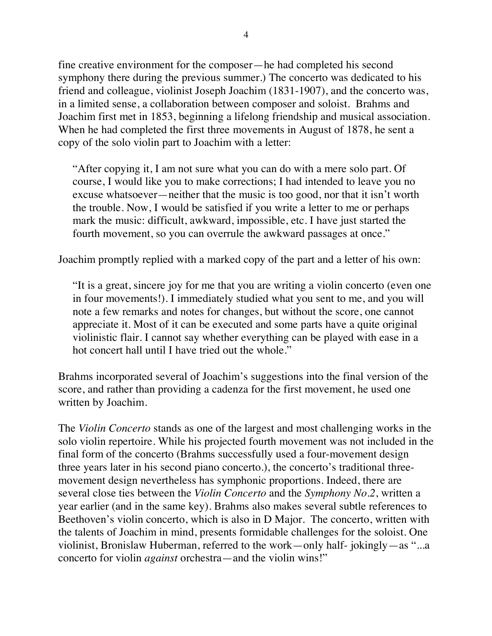fine creative environment for the composer—he had completed his second symphony there during the previous summer.) The concerto was dedicated to his friend and colleague, violinist Joseph Joachim (1831-1907), and the concerto was, in a limited sense, a collaboration between composer and soloist. Brahms and Joachim first met in 1853, beginning a lifelong friendship and musical association. When he had completed the first three movements in August of 1878, he sent a copy of the solo violin part to Joachim with a letter:

"After copying it, I am not sure what you can do with a mere solo part. Of course, I would like you to make corrections; I had intended to leave you no excuse whatsoever—neither that the music is too good, nor that it isn't worth the trouble. Now, I would be satisfied if you write a letter to me or perhaps mark the music: difficult, awkward, impossible, etc. I have just started the fourth movement, so you can overrule the awkward passages at once."

Joachim promptly replied with a marked copy of the part and a letter of his own:

"It is a great, sincere joy for me that you are writing a violin concerto (even one in four movements!). I immediately studied what you sent to me, and you will note a few remarks and notes for changes, but without the score, one cannot appreciate it. Most of it can be executed and some parts have a quite original violinistic flair. I cannot say whether everything can be played with ease in a hot concert hall until I have tried out the whole."

Brahms incorporated several of Joachim's suggestions into the final version of the score, and rather than providing a cadenza for the first movement, he used one written by Joachim.

The *Violin Concerto* stands as one of the largest and most challenging works in the solo violin repertoire. While his projected fourth movement was not included in the final form of the concerto (Brahms successfully used a four-movement design three years later in his second piano concerto.), the concerto's traditional threemovement design nevertheless has symphonic proportions. Indeed, there are several close ties between the *Violin Concerto* and the *Symphony No.2*, written a year earlier (and in the same key). Brahms also makes several subtle references to Beethoven's violin concerto, which is also in D Major. The concerto, written with the talents of Joachim in mind, presents formidable challenges for the soloist. One violinist, Bronislaw Huberman, referred to the work—only half- jokingly—as "...a concerto for violin *against* orchestra—and the violin wins!"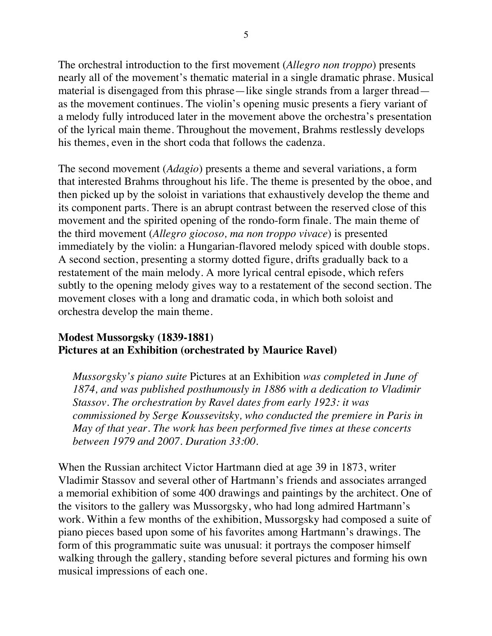The orchestral introduction to the first movement (*Allegro non troppo*) presents nearly all of the movement's thematic material in a single dramatic phrase. Musical material is disengaged from this phrase—like single strands from a larger thread as the movement continues. The violin's opening music presents a fiery variant of a melody fully introduced later in the movement above the orchestra's presentation of the lyrical main theme. Throughout the movement, Brahms restlessly develops his themes, even in the short coda that follows the cadenza.

The second movement (*Adagio*) presents a theme and several variations, a form that interested Brahms throughout his life. The theme is presented by the oboe, and then picked up by the soloist in variations that exhaustively develop the theme and its component parts. There is an abrupt contrast between the reserved close of this movement and the spirited opening of the rondo-form finale. The main theme of the third movement (*Allegro giocoso, ma non troppo vivace*) is presented immediately by the violin: a Hungarian-flavored melody spiced with double stops. A second section, presenting a stormy dotted figure, drifts gradually back to a restatement of the main melody. A more lyrical central episode, which refers subtly to the opening melody gives way to a restatement of the second section. The movement closes with a long and dramatic coda, in which both soloist and orchestra develop the main theme.

#### **Modest Mussorgsky (1839-1881) Pictures at an Exhibition (orchestrated by Maurice Ravel)**

*Mussorgsky's piano suite* Pictures at an Exhibition *was completed in June of 1874, and was published posthumously in 1886 with a dedication to Vladimir Stassov. The orchestration by Ravel dates from early 1923: it was commissioned by Serge Koussevitsky, who conducted the premiere in Paris in May of that year. The work has been performed five times at these concerts between 1979 and 2007. Duration 33:00.*

When the Russian architect Victor Hartmann died at age 39 in 1873, writer Vladimir Stassov and several other of Hartmann's friends and associates arranged a memorial exhibition of some 400 drawings and paintings by the architect. One of the visitors to the gallery was Mussorgsky, who had long admired Hartmann's work. Within a few months of the exhibition, Mussorgsky had composed a suite of piano pieces based upon some of his favorites among Hartmann's drawings. The form of this programmatic suite was unusual: it portrays the composer himself walking through the gallery, standing before several pictures and forming his own musical impressions of each one.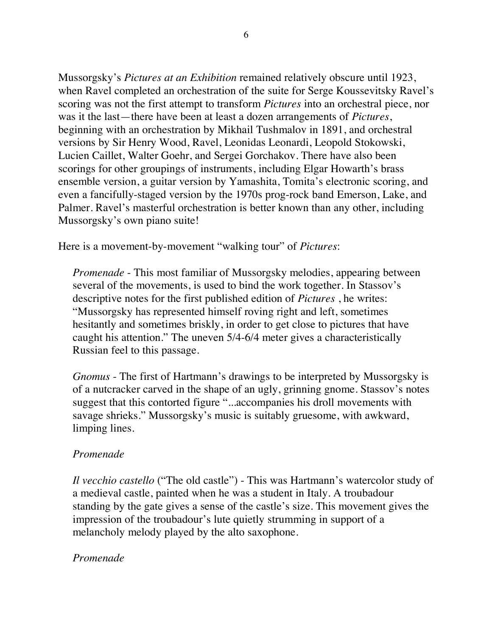Mussorgsky's *Pictures at an Exhibition* remained relatively obscure until 1923, when Ravel completed an orchestration of the suite for Serge Koussevitsky Ravel's scoring was not the first attempt to transform *Pictures* into an orchestral piece, nor was it the last—there have been at least a dozen arrangements of *Pictures*, beginning with an orchestration by Mikhail Tushmalov in 1891, and orchestral versions by Sir Henry Wood, Ravel, Leonidas Leonardi, Leopold Stokowski, Lucien Caillet, Walter Goehr, and Sergei Gorchakov. There have also been scorings for other groupings of instruments, including Elgar Howarth's brass ensemble version, a guitar version by Yamashita, Tomita's electronic scoring, and even a fancifully-staged version by the 1970s prog-rock band Emerson, Lake, and Palmer. Ravel's masterful orchestration is better known than any other, including Mussorgsky's own piano suite!

Here is a movement-by-movement "walking tour" of *Pictures*:

*Promenade* - This most familiar of Mussorgsky melodies, appearing between several of the movements, is used to bind the work together. In Stassov's descriptive notes for the first published edition of *Pictures* , he writes: "Mussorgsky has represented himself roving right and left, sometimes hesitantly and sometimes briskly, in order to get close to pictures that have caught his attention." The uneven 5/4-6/4 meter gives a characteristically Russian feel to this passage.

*Gnomus* - The first of Hartmann's drawings to be interpreted by Mussorgsky is of a nutcracker carved in the shape of an ugly, grinning gnome. Stassov's notes suggest that this contorted figure "...accompanies his droll movements with savage shrieks." Mussorgsky's music is suitably gruesome, with awkward, limping lines.

# *Promenade*

*Il vecchio castello* ("The old castle") - This was Hartmann's watercolor study of a medieval castle, painted when he was a student in Italy. A troubadour standing by the gate gives a sense of the castle's size. This movement gives the impression of the troubadour's lute quietly strumming in support of a melancholy melody played by the alto saxophone.

# *Promenade*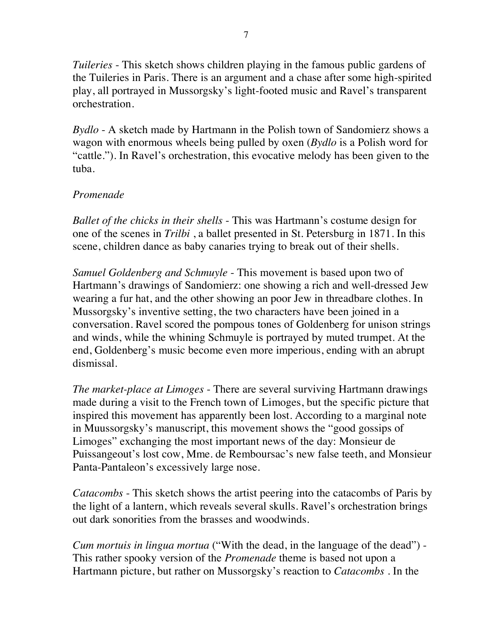*Tuileries* - This sketch shows children playing in the famous public gardens of the Tuileries in Paris. There is an argument and a chase after some high-spirited play, all portrayed in Mussorgsky's light-footed music and Ravel's transparent orchestration.

*Bydlo* - A sketch made by Hartmann in the Polish town of Sandomierz shows a wagon with enormous wheels being pulled by oxen (*Bydlo* is a Polish word for "cattle."). In Ravel's orchestration, this evocative melody has been given to the tuba.

### *Promenade*

*Ballet of the chicks in their shells* - This was Hartmann's costume design for one of the scenes in *Trilbi* , a ballet presented in St. Petersburg in 1871. In this scene, children dance as baby canaries trying to break out of their shells.

*Samuel Goldenberg and Schmuyle* - This movement is based upon two of Hartmann's drawings of Sandomierz: one showing a rich and well-dressed Jew wearing a fur hat, and the other showing an poor Jew in threadbare clothes. In Mussorgsky's inventive setting, the two characters have been joined in a conversation. Ravel scored the pompous tones of Goldenberg for unison strings and winds, while the whining Schmuyle is portrayed by muted trumpet. At the end, Goldenberg's music become even more imperious, ending with an abrupt dismissal.

*The market-place at Limoges* - There are several surviving Hartmann drawings made during a visit to the French town of Limoges, but the specific picture that inspired this movement has apparently been lost. According to a marginal note in Muussorgsky's manuscript, this movement shows the "good gossips of Limoges" exchanging the most important news of the day: Monsieur de Puissangeout's lost cow, Mme. de Remboursac's new false teeth, and Monsieur Panta-Pantaleon's excessively large nose.

*Catacombs* - This sketch shows the artist peering into the catacombs of Paris by the light of a lantern, which reveals several skulls. Ravel's orchestration brings out dark sonorities from the brasses and woodwinds.

*Cum mortuis in lingua mortua* ("With the dead, in the language of the dead") - This rather spooky version of the *Promenade* theme is based not upon a Hartmann picture, but rather on Mussorgsky's reaction to *Catacombs* . In the